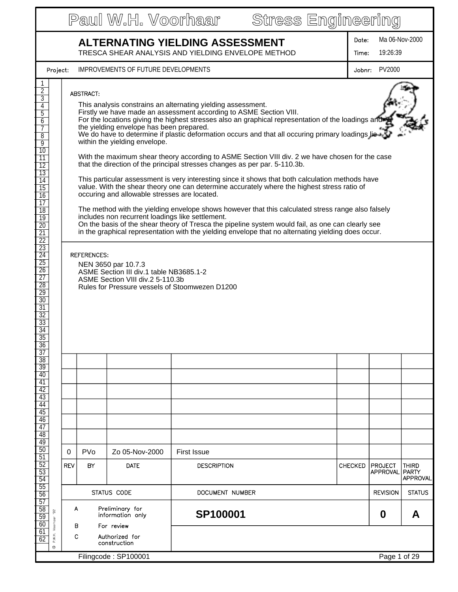|                                                                                                                                                                                                                                                                                                                             | Stress Engineering<br>Paul W.H. Voorhaar                                                                                                                                                                                                                                                                                                                                                                                                                                                                                                                                                                                                                                                                                                                                                                                                                                                                                                                                                                                                                                                                                                                                                                                                         |            |            |                                     |                    |  |                |                            |                   |
|-----------------------------------------------------------------------------------------------------------------------------------------------------------------------------------------------------------------------------------------------------------------------------------------------------------------------------|--------------------------------------------------------------------------------------------------------------------------------------------------------------------------------------------------------------------------------------------------------------------------------------------------------------------------------------------------------------------------------------------------------------------------------------------------------------------------------------------------------------------------------------------------------------------------------------------------------------------------------------------------------------------------------------------------------------------------------------------------------------------------------------------------------------------------------------------------------------------------------------------------------------------------------------------------------------------------------------------------------------------------------------------------------------------------------------------------------------------------------------------------------------------------------------------------------------------------------------------------|------------|------------|-------------------------------------|--------------------|--|----------------|----------------------------|-------------------|
| <b>ALTERNATING YIELDING ASSESSMENT</b><br>TRESCA SHEAR ANALYSIS AND YIELDING ENVELOPE METHOD                                                                                                                                                                                                                                |                                                                                                                                                                                                                                                                                                                                                                                                                                                                                                                                                                                                                                                                                                                                                                                                                                                                                                                                                                                                                                                                                                                                                                                                                                                  |            |            |                                     |                    |  | Date:<br>Time: | Ma 06-Nov-2000<br>19:26:39 |                   |
|                                                                                                                                                                                                                                                                                                                             | Project:                                                                                                                                                                                                                                                                                                                                                                                                                                                                                                                                                                                                                                                                                                                                                                                                                                                                                                                                                                                                                                                                                                                                                                                                                                         |            |            | IMPROVEMENTS OF FUTURE DEVELOPMENTS |                    |  | Jobnr:         | PV2000                     |                   |
| $\overline{2}$<br>$\overline{3}$<br>4<br>$\overline{5}$<br>6<br>7<br>$\overline{8}$<br>9<br>10<br>$\overline{11}$<br>$\overline{12}$<br>13<br>$\overline{14}$<br>$\overline{15}$<br>16<br>$\overline{17}$<br>$\overline{18}$<br>$\overline{19}$<br>$\overline{20}$<br>$\overline{21}$<br>$\overline{22}$<br>$\overline{23}$ | ABSTRACT:<br>This analysis constrains an alternating yielding assessment.<br>Firstly we have made an assessment according to ASME Section VIII.<br>For the locations giving the highest stresses also an graphical representation of the loadings and<br>the yielding envelope has been prepared.<br>We do have to determine if plastic deformation occurs and that all occuring primary loadings lie<br>within the yielding envelope.<br>With the maximum shear theory according to ASME Section VIII div. 2 we have chosen for the case<br>that the direction of the principal stresses changes as per par. 5-110.3b.<br>This particular assessment is very interesting since it shows that both calculation methods have<br>value. With the shear theory one can determine accurately where the highest stress ratio of<br>occuring and allowable stresses are located.<br>The method with the yielding envelope shows however that this calculated stress range also falsely<br>includes non recurrent loadings like settlement.<br>On the basis of the shear theory of Tresca the pipeline system would fail, as one can clearly see<br>in the graphical representation with the yielding envelope that no alternating yielding does occur. |            |            |                                     |                    |  |                |                            |                   |
| $\overline{24}$<br>$\overline{25}$<br>$\overline{26}$<br>$\overline{27}$<br>$\overline{28}$<br>$\overline{29}$<br>$\overline{30}$<br>$\overline{31}$<br>$\overline{32}$<br>33<br>$\overline{34}$<br>35<br>$\overline{36}$<br>$\overline{37}$                                                                                | REFERENCES:<br>NEN 3650 par 10.7.3<br>ASME Section III div.1 table NB3685.1-2<br>ASME Section VIII div.2 5-110.3b<br>Rules for Pressure vessels of Stoomwezen D1200                                                                                                                                                                                                                                                                                                                                                                                                                                                                                                                                                                                                                                                                                                                                                                                                                                                                                                                                                                                                                                                                              |            |            |                                     |                    |  |                |                            |                   |
| $\overline{38}$<br>39                                                                                                                                                                                                                                                                                                       |                                                                                                                                                                                                                                                                                                                                                                                                                                                                                                                                                                                                                                                                                                                                                                                                                                                                                                                                                                                                                                                                                                                                                                                                                                                  |            |            |                                     |                    |  |                |                            |                   |
| 40<br>$\overline{41}$<br>42                                                                                                                                                                                                                                                                                                 |                                                                                                                                                                                                                                                                                                                                                                                                                                                                                                                                                                                                                                                                                                                                                                                                                                                                                                                                                                                                                                                                                                                                                                                                                                                  |            |            |                                     |                    |  |                |                            |                   |
| 43<br>44                                                                                                                                                                                                                                                                                                                    |                                                                                                                                                                                                                                                                                                                                                                                                                                                                                                                                                                                                                                                                                                                                                                                                                                                                                                                                                                                                                                                                                                                                                                                                                                                  |            |            |                                     |                    |  |                |                            |                   |
| 45<br>46                                                                                                                                                                                                                                                                                                                    |                                                                                                                                                                                                                                                                                                                                                                                                                                                                                                                                                                                                                                                                                                                                                                                                                                                                                                                                                                                                                                                                                                                                                                                                                                                  |            |            |                                     |                    |  |                |                            |                   |
| 47<br>48                                                                                                                                                                                                                                                                                                                    |                                                                                                                                                                                                                                                                                                                                                                                                                                                                                                                                                                                                                                                                                                                                                                                                                                                                                                                                                                                                                                                                                                                                                                                                                                                  |            |            |                                     |                    |  |                |                            |                   |
| 49<br>50                                                                                                                                                                                                                                                                                                                    |                                                                                                                                                                                                                                                                                                                                                                                                                                                                                                                                                                                                                                                                                                                                                                                                                                                                                                                                                                                                                                                                                                                                                                                                                                                  | 0          | <b>PVo</b> | Zo 05-Nov-2000                      | <b>First Issue</b> |  |                |                            |                   |
| 51<br>$\overline{52}$                                                                                                                                                                                                                                                                                                       |                                                                                                                                                                                                                                                                                                                                                                                                                                                                                                                                                                                                                                                                                                                                                                                                                                                                                                                                                                                                                                                                                                                                                                                                                                                  | <b>REV</b> | BY         | <b>DATE</b>                         | <b>DESCRIPTION</b> |  | <b>CHECKED</b> | <b>PROJECT</b>             | <b>THIRD</b>      |
| 53<br>54                                                                                                                                                                                                                                                                                                                    |                                                                                                                                                                                                                                                                                                                                                                                                                                                                                                                                                                                                                                                                                                                                                                                                                                                                                                                                                                                                                                                                                                                                                                                                                                                  |            |            |                                     |                    |  |                | <b>APPROVAL</b>            | PARTY<br>APPROVAL |
| $\overline{55}$<br>56                                                                                                                                                                                                                                                                                                       |                                                                                                                                                                                                                                                                                                                                                                                                                                                                                                                                                                                                                                                                                                                                                                                                                                                                                                                                                                                                                                                                                                                                                                                                                                                  |            |            | STATUS CODE                         | DOCUMENT NUMBER    |  |                | <b>REVISION</b>            | <b>STATUS</b>     |
| 57<br>$\overline{58}$<br>59                                                                                                                                                                                                                                                                                                 | Preliminary for<br>A<br>$\overline{5}$<br>information only                                                                                                                                                                                                                                                                                                                                                                                                                                                                                                                                                                                                                                                                                                                                                                                                                                                                                                                                                                                                                                                                                                                                                                                       |            |            |                                     | SP100001           |  |                | 0                          | A                 |
| 60<br>61                                                                                                                                                                                                                                                                                                                    | Voorhaar<br>P.W.H.                                                                                                                                                                                                                                                                                                                                                                                                                                                                                                                                                                                                                                                                                                                                                                                                                                                                                                                                                                                                                                                                                                                                                                                                                               | В<br>С     |            | For review<br>Authorized for        |                    |  |                |                            |                   |
| 62                                                                                                                                                                                                                                                                                                                          | $\circ$                                                                                                                                                                                                                                                                                                                                                                                                                                                                                                                                                                                                                                                                                                                                                                                                                                                                                                                                                                                                                                                                                                                                                                                                                                          |            |            | construction                        |                    |  |                |                            |                   |
|                                                                                                                                                                                                                                                                                                                             | Filingcode: SP100001<br>Page 1 of 29                                                                                                                                                                                                                                                                                                                                                                                                                                                                                                                                                                                                                                                                                                                                                                                                                                                                                                                                                                                                                                                                                                                                                                                                             |            |            |                                     |                    |  |                |                            |                   |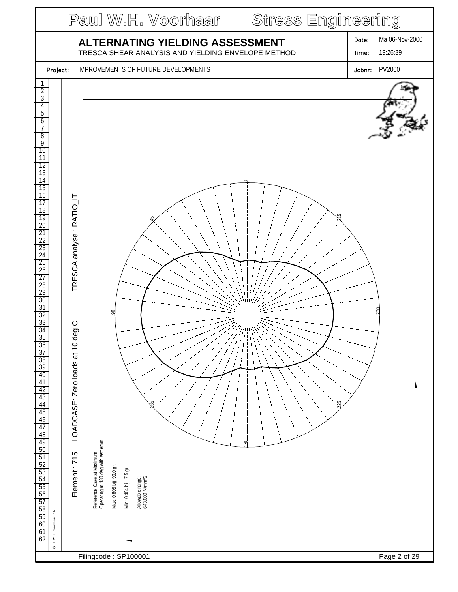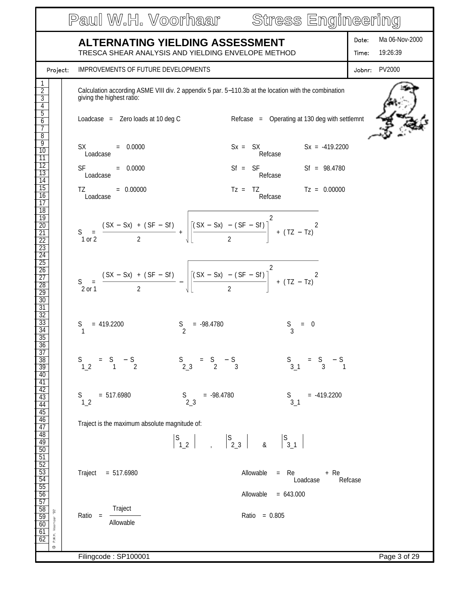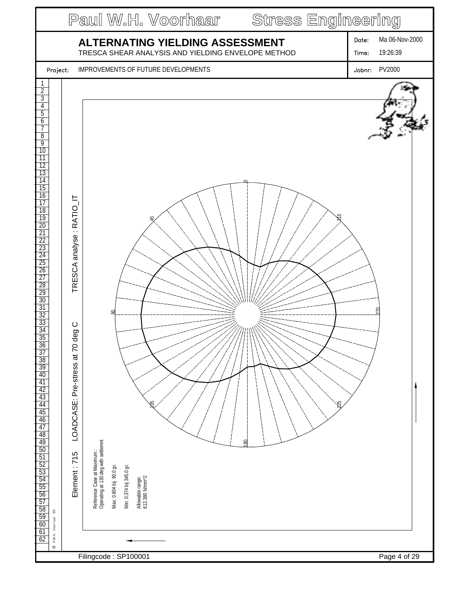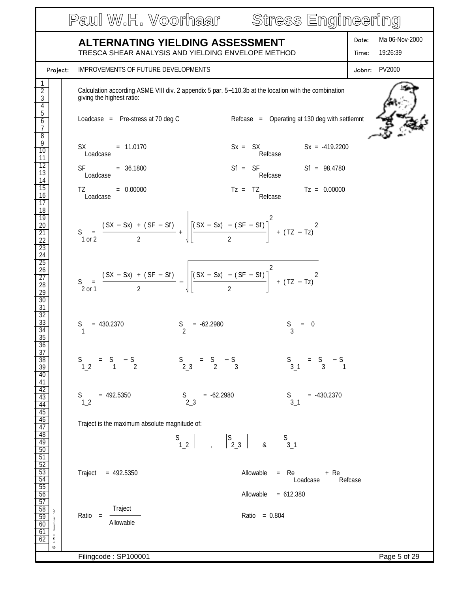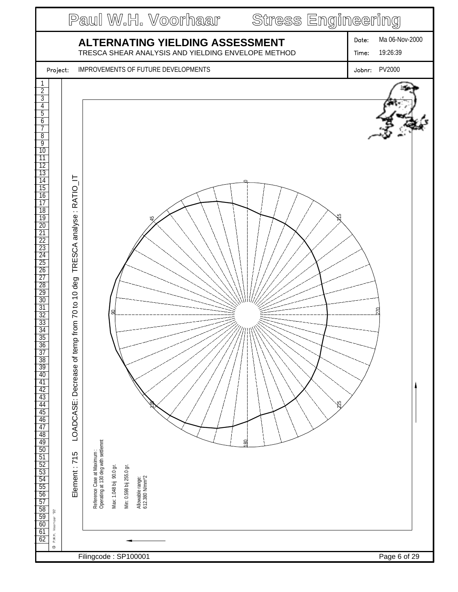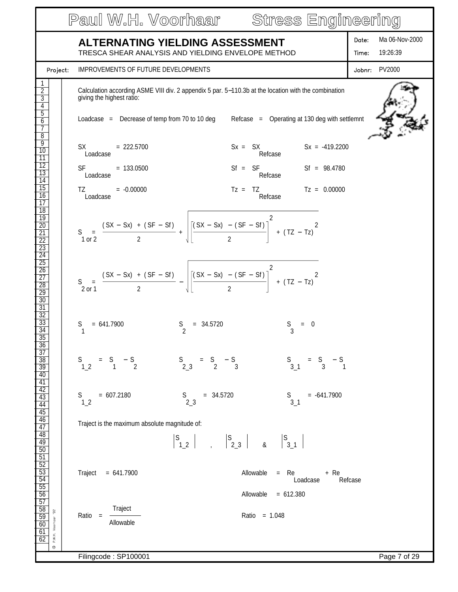|                                                                                                                                                                                  | Paul W.H. Voorhaar Stress Engineering                                                                                                                                                                                                                                                                                                                                                                                                                           |                                              |
|----------------------------------------------------------------------------------------------------------------------------------------------------------------------------------|-----------------------------------------------------------------------------------------------------------------------------------------------------------------------------------------------------------------------------------------------------------------------------------------------------------------------------------------------------------------------------------------------------------------------------------------------------------------|----------------------------------------------|
|                                                                                                                                                                                  | <b>ALTERNATING YIELDING ASSESSMENT</b><br>TRESCA SHEAR ANALYSIS AND YIELDING ENVELOPE METHOD                                                                                                                                                                                                                                                                                                                                                                    | Ma 06-Nov-2000<br>Date:<br>19:26:39<br>Time: |
| Project:                                                                                                                                                                         | IMPROVEMENTS OF FUTURE DEVELOPMENTS                                                                                                                                                                                                                                                                                                                                                                                                                             | Jobnr: PV2000                                |
| $\overline{2}$<br>$\overline{3}$<br>4<br>$\overline{5}$<br>6                                                                                                                     | Calculation according ASME VIII div. 2 appendix 5 par. 5-110.3b at the location with the combination<br>giving the highest ratio:<br>Loadcase = Decrease of temp from 70 to 10 deg Refcase = Operating at 130 deg with settlemnt                                                                                                                                                                                                                                |                                              |
| $\overline{8}$<br>9<br>10<br>$\overline{11}$<br>$\overline{12}$<br>13<br>$\overline{14}$<br>$\overline{15}$<br>16<br>$\overline{17}$<br>$\overline{18}$<br>19<br>$\overline{20}$ | $SX = 222.5700$<br>$Sx = SX$ $Sx = -419.2200$<br>Refcase<br>Loadcase<br>$St = SF$ SF Sf = 98.4780<br>SF and the set<br>$= 133.0500$<br>Refcase<br>Loadcase<br>$Tz = TZ$ $Tz = 0.00000$<br>TZ and the state of the state of the state of the state of the state of the state of the state of the state of the state of the state of the state of the state of the state of the state of the state of the state of the sta<br>$= -0.00000$<br>Refcase<br>Loadcase |                                              |
| $\overline{21}$<br>$\overline{22}$<br>$\overline{23}$<br>$\overline{24}$<br>$\overline{25}$<br>$\overline{26}$<br>$\overline{27}$<br>$\overline{28}$<br>$\overline{29}$<br>30    | S = $\frac{(SX - Sx) + (SF - Sf)}{2} + \sqrt{\left[\frac{(SX - Sx) - (SF - Sf)}{2}\right]^2 + (TZ - Tz)^2}$<br>S = $\frac{(SX - Sx) + (SF - Sf)}{2} - \sqrt{\frac{(SX - Sx) - (SF - Sf)}{2}} + (TZ - Tz)^{2}$                                                                                                                                                                                                                                                   |                                              |
| $\overline{31}$<br>$\overline{32}$<br>33<br>$\overline{34}$<br>$\overline{35}$<br>$\frac{36}{37}$                                                                                | $S = 34.5720$<br>S<br>$= 641.7900$<br>$= 0$                                                                                                                                                                                                                                                                                                                                                                                                                     |                                              |
| $\frac{38}{39}$<br>40                                                                                                                                                            | $S$ <sub>2_3</sub><br>$=$ S $-$ S 3<br>$S$ <sub>3_1</sub><br>$=$ S $-$ S $_3$ 1<br>$S$ <sub>1_2</sub><br>$=$ S $-$ S $\frac{1}{2}$                                                                                                                                                                                                                                                                                                                              |                                              |
| $\frac{41}{42}$<br>$\frac{42}{43}$<br>$\frac{44}{45}$<br>$\frac{45}{46}$                                                                                                         | $= 607.2180$<br>$= -641.7900$<br>$S$ <sub>2_3</sub><br>$= 34.5720$<br>$S$ <sub>3_1</sub><br>S<br>1 <sub>2</sub>                                                                                                                                                                                                                                                                                                                                                 |                                              |
| $\frac{\frac{1}{47}}{\frac{48}{49}}$                                                                                                                                             | Traject is the maximum absolute magnitude of:                                                                                                                                                                                                                                                                                                                                                                                                                   |                                              |
| $\frac{50}{51}$<br>$\frac{52}{53}$<br>$\frac{53}{54}$<br>$\frac{54}{55}$<br>$\frac{56}{57}$                                                                                      | Allowable<br>Traject $= 641.7900$<br>$=$ Re<br>+ Re<br>Loadcase<br>Allowable $= 612.380$                                                                                                                                                                                                                                                                                                                                                                        | Refcase                                      |
| $\frac{58}{59}$<br>$\overline{9}$<br>P.W.H. Voorhaar<br>60<br>61<br>62<br>$\circ$                                                                                                | Traject<br>Ratio = 1.048<br>$Ratio =$<br>Allowable                                                                                                                                                                                                                                                                                                                                                                                                              |                                              |
|                                                                                                                                                                                  | Filingcode: SP100001                                                                                                                                                                                                                                                                                                                                                                                                                                            | Page 7 of 29                                 |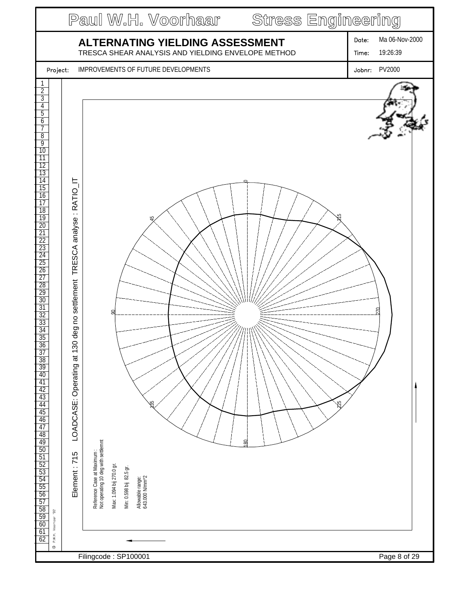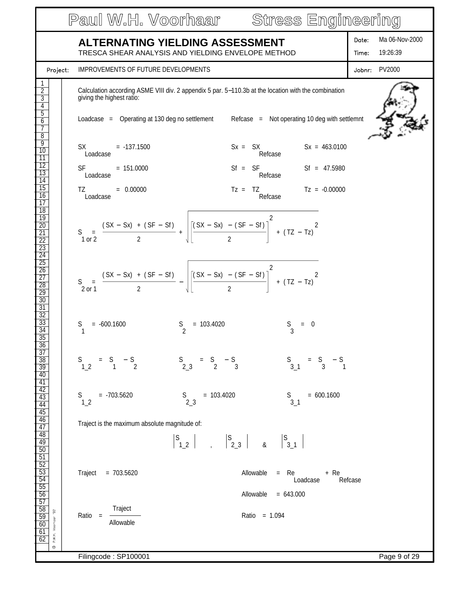|                                                                                                                                                                            |                                                                                                                                                                                                                                                           | Paul W.H. Voorhaar Stress Engineering                                                                                                                                                               |                                              |
|----------------------------------------------------------------------------------------------------------------------------------------------------------------------------|-----------------------------------------------------------------------------------------------------------------------------------------------------------------------------------------------------------------------------------------------------------|-----------------------------------------------------------------------------------------------------------------------------------------------------------------------------------------------------|----------------------------------------------|
|                                                                                                                                                                            | <b>ALTERNATING YIELDING ASSESSMENT</b><br>TRESCA SHEAR ANALYSIS AND YIELDING ENVELOPE METHOD                                                                                                                                                              |                                                                                                                                                                                                     | Ma 06-Nov-2000<br>Date:<br>19:26:39<br>Time: |
| Project:                                                                                                                                                                   | <b>IMPROVEMENTS OF FUTURE DEVELOPMENTS</b>                                                                                                                                                                                                                |                                                                                                                                                                                                     | Jobnr: PV2000                                |
| $\overline{2}$<br>3<br>4<br>$\overline{5}$<br>6<br>$\overline{1}$                                                                                                          | giving the highest ratio:                                                                                                                                                                                                                                 | Calculation according ASME VIII div. 2 appendix 5 par. 5-110.3b at the location with the combination<br>Loadcase = Operating at 130 deg no settlement Refcase = Not operating 10 deg with settlemnt |                                              |
| $\overline{8}$<br>9<br>10<br>$\overline{11}$<br>$\overline{12}$                                                                                                            | $SX = -137.1500$<br>Loadcase                                                                                                                                                                                                                              | $Sx = SX$ $Sx = 463.0100$<br>Refcase                                                                                                                                                                |                                              |
| 13<br>$\overline{14}$                                                                                                                                                      | $SF = 151.0000$<br>Loadcase                                                                                                                                                                                                                               | $St = SF$ SF Sf = 47.5980<br>Refcase                                                                                                                                                                |                                              |
| $\overline{15}$<br>16<br>$\overline{17}$                                                                                                                                   | $= 0.00000$<br>TZ and the state of the state of the state of the state of the state of the state of the state of the state of the state of the state of the state of the state of the state of the state of the state of the state of the sta<br>Loadcase | $Tz = TZ$ $Tz = -0.00000$<br>Refcase                                                                                                                                                                |                                              |
| $\overline{18}$<br>$\overline{19}$<br>$\overline{20}$<br>$\overline{21}$<br>$\overline{22}$<br>$\overline{23}$<br>$\overline{24}$                                          |                                                                                                                                                                                                                                                           | S = $\frac{(SX - Sx) + (SF - Sf)}{2} + \sqrt{\left[\frac{(SX - Sx) - (SF - Sf)}{2}\right]^2 + (TZ - Tz)^2}$                                                                                         |                                              |
| $\overline{25}$<br>$\overline{26}$<br>$\overline{27}$<br>$\overline{28}$<br>$\overline{29}$<br>30<br>$\overline{31}$                                                       |                                                                                                                                                                                                                                                           | S = $\frac{(SX - Sx) + (SF - Sf)}{2} - \sqrt{\left[\frac{(SX - Sx) - (SF - Sf)}{2}\right]^2 + (TZ - Tz)^2}$                                                                                         |                                              |
| $\overline{32}$<br>33<br>$\overline{34}$<br>35<br>$\frac{36}{37}$                                                                                                          | $S$ <sup>2</sup><br>S<br>$= -600.1600$                                                                                                                                                                                                                    | $= 103.4020$<br>$= 0$                                                                                                                                                                               |                                              |
| $\frac{38}{39}$<br>$\overline{40}$                                                                                                                                         | $S$ <sub>2_3</sub><br>$S$ <sup>1_2</sup><br>$=$ S $-$ S $_1$                                                                                                                                                                                              | $=$ S $-$ S 3<br>$S$ <sub>3_1</sub><br>$=$ S $-$ S<br>3 1                                                                                                                                           |                                              |
| $\frac{41}{42}$ $\frac{43}{44}$ $\frac{44}{45}$                                                                                                                            | $S$ <sub>2_3</sub><br>$= -703.5620$<br>S<br>1 <sub>2</sub>                                                                                                                                                                                                | $= 103.4020$<br>$S$ <sub>3_1</sub><br>$= 600.1600$                                                                                                                                                  |                                              |
| $\frac{46}{47}$<br>$\frac{48}{49}$                                                                                                                                         | Traject is the maximum absolute magnitude of:                                                                                                                                                                                                             |                                                                                                                                                                                                     |                                              |
|                                                                                                                                                                            | Traject = $703.5620$                                                                                                                                                                                                                                      | Allowable<br>$=$ Re<br>+ Re<br>Loadcase                                                                                                                                                             | Refcase                                      |
|                                                                                                                                                                            |                                                                                                                                                                                                                                                           | Allowable<br>$= 643.000$                                                                                                                                                                            |                                              |
| $\frac{50}{51} \frac{52}{52} \frac{53}{54} \frac{54}{55} \frac{55}{56} \frac{56}{57} \frac{58}{58} \frac{59}{59} \frac{60}{60} \frac{61}{62}$<br>$92\,$<br>P.W.H. Voorhaar | Traject<br>$Ratio =$<br>Allowable                                                                                                                                                                                                                         | Ratio = 1.094                                                                                                                                                                                       |                                              |
| O                                                                                                                                                                          | Filingcode: SP100001                                                                                                                                                                                                                                      |                                                                                                                                                                                                     | Page 9 of 29                                 |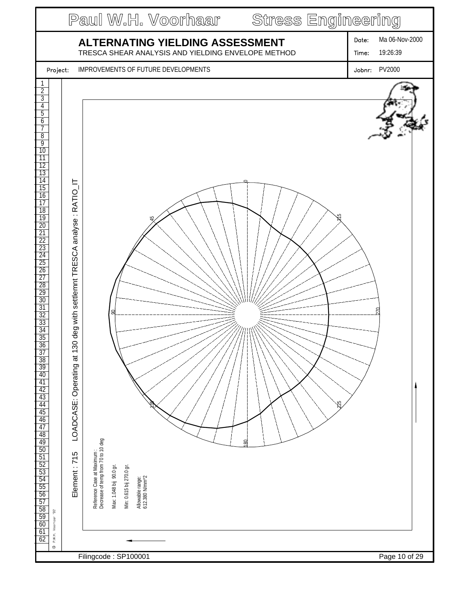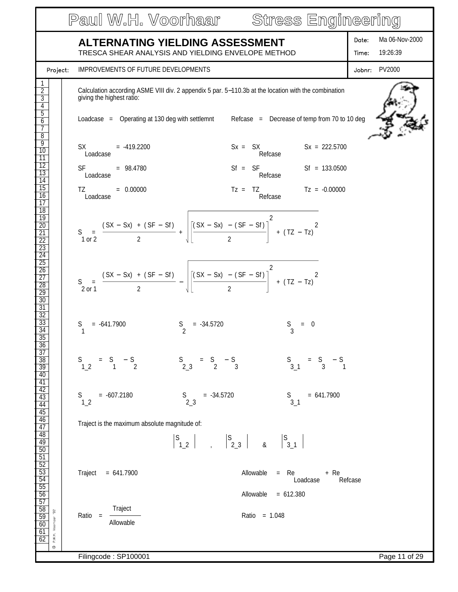|                                                                                                                      | Paul W.H. Voorhaar Stress Engineering                                                                                                                                                                                                                                                                         |                                              |
|----------------------------------------------------------------------------------------------------------------------|---------------------------------------------------------------------------------------------------------------------------------------------------------------------------------------------------------------------------------------------------------------------------------------------------------------|----------------------------------------------|
|                                                                                                                      | <b>ALTERNATING YIELDING ASSESSMENT</b><br>TRESCA SHEAR ANALYSIS AND YIELDING ENVELOPE METHOD                                                                                                                                                                                                                  | Ma 06-Nov-2000<br>Date:<br>19:26:39<br>Time: |
| Project:                                                                                                             | <b>IMPROVEMENTS OF FUTURE DEVELOPMENTS</b>                                                                                                                                                                                                                                                                    | Jobnr: PV2000                                |
| $\overline{2}$<br>$\overline{3}$<br>$\overline{4}$<br>$\overline{5}$<br>6<br>7                                       | Calculation according ASME VIII div. 2 appendix 5 par. 5-110.3b at the location with the combination<br>giving the highest ratio:<br>Loadcase = Operating at 130 deg with settlemnt Refcase = Decrease of temp from 70 to 10 deg                                                                              |                                              |
| $\overline{8}$<br>$\overline{9}$<br>$\overline{10}$<br>$\overline{11}$<br>$\overline{12}$<br>$\overline{13}$         | $Sx = SX$ $Sx = 222.5700$<br>$SX = -419.2200$<br>Refcase<br>Loadcase<br>$St = SF$ SF Sf = 133.0500<br>SF <sub>2</sub><br>$= 98.4780$<br>Refcase                                                                                                                                                               |                                              |
| $\overline{14}$<br>$\overline{15}$<br>16<br>$\overline{17}$<br>$\overline{18}$                                       | Loadcase<br>$Tz = TZ$ $Tz = -0.00000$<br>TZ and the state of the state of the state of the state of the state of the state of the state of the state of the state of the state of the state of the state of the state of the state of the state of the state of the sta<br>$= 0.00000$<br>Refcase<br>Loadcase |                                              |
| $\overline{19}$<br>$\overline{20}$<br>$\overline{21}$<br>$\overline{22}$<br>$\overline{23}$<br>$\overline{24}$       | S = $\frac{(SX - Sx) + (SF - Sf)}{2} + \sqrt{\left[\frac{(SX - Sx) - (SF - Sf)}{2}\right]^2 + (TZ - Tz)^2}$                                                                                                                                                                                                   |                                              |
| $\overline{25}$<br>$\overline{26}$<br>$\overline{27}$<br>$\overline{28}$<br>$\overline{29}$<br>30<br>$\overline{31}$ | S = $\frac{(SX - Sx) + (SF - Sf)}{2} - \sqrt{\frac{(SX - Sx) - (SF - Sf)}{2}} + (TZ - Tz)^{2}$                                                                                                                                                                                                                |                                              |
| $\overline{32}$<br>33<br>$\overline{34}$<br>$\overline{35}$<br>$\frac{36}{37}$                                       | $S_2$<br>S<br>$= -641.7900$<br>$= -34.5720$<br>$S$ <sub>3</sub><br>$= 0$                                                                                                                                                                                                                                      |                                              |
| $\frac{38}{38}$<br>$\frac{39}{40}$<br>$\frac{41}{42}$                                                                | $=$ S $-$ S 3<br>$S$ <sup>1_2</sup><br>$=$ S $-$ S $_1$<br>$S$ <sub>2_3</sub><br>$S$ <sub>3_1</sub><br>$=$ S $-$ S $_3$                                                                                                                                                                                       |                                              |
| $\overline{43}$<br>$\frac{44}{45}$<br>$\overline{46}$                                                                | $= -607.2180$<br>$S$ <sub>2_3</sub><br>$= 641.7900$<br>S<br>$= -34.5720$<br>S.<br>3 <sub>1</sub><br>1 <sub>2</sub>                                                                                                                                                                                            |                                              |
| $\overline{47}$<br>48<br>$\overline{49}$<br>50                                                                       | Traject is the maximum absolute magnitude of:                                                                                                                                                                                                                                                                 |                                              |
| $rac{51}{52}$<br>$rac{52}{53}$<br>$rac{54}{55}$<br>$\frac{56}{57}$                                                   | Traject<br>Allowable<br>$=$ Re<br>$= 641.7900$<br>+ Re<br>Loadcase<br>Allowable<br>$= 612.380$                                                                                                                                                                                                                | Refcase                                      |
| $\frac{58}{59}$<br>$\frac{60}{61}$<br>$92\,$<br>P.W.H. Voorhaar<br>62<br>$\circ$                                     | Traject<br>Ratio = 1.048<br>$Ratio =$<br>Allowable                                                                                                                                                                                                                                                            |                                              |
|                                                                                                                      | Filingcode: SP100001                                                                                                                                                                                                                                                                                          | Page 11 of 29                                |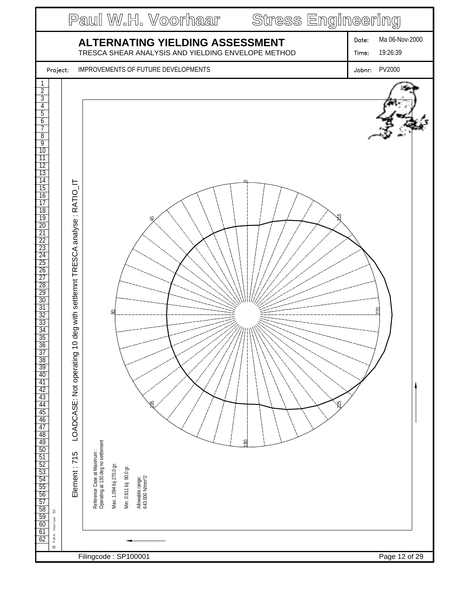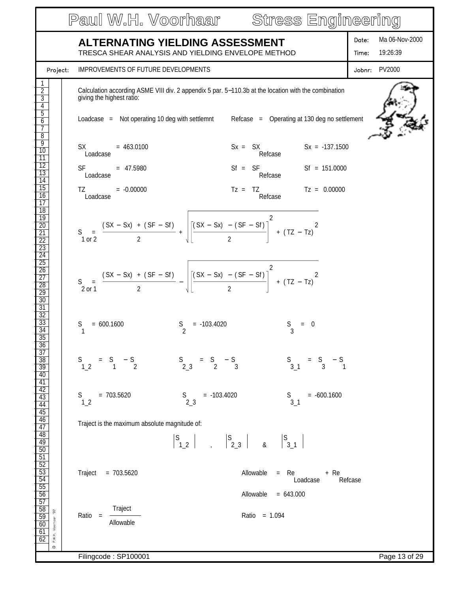|                                                                                                                      | Paul W.H. Voorhaar Stress Engineering                                                                                                                                                                                                                                                                                                                                                                            |                                              |
|----------------------------------------------------------------------------------------------------------------------|------------------------------------------------------------------------------------------------------------------------------------------------------------------------------------------------------------------------------------------------------------------------------------------------------------------------------------------------------------------------------------------------------------------|----------------------------------------------|
|                                                                                                                      | ALTERNATING YIELDING ASSESSMENT<br>TRESCA SHEAR ANALYSIS AND YIELDING ENVELOPE METHOD                                                                                                                                                                                                                                                                                                                            | Ma 06-Nov-2000<br>Date:<br>19:26:39<br>Time: |
| Project:                                                                                                             | <b>IMPROVEMENTS OF FUTURE DEVELOPMENTS</b>                                                                                                                                                                                                                                                                                                                                                                       | Jobnr: PV2000                                |
| $\overline{2}$<br>$\overline{3}$<br>4<br>$\overline{5}$<br>$\overline{6}$<br>7                                       | Calculation according ASME VIII div. 2 appendix 5 par. 5-110.3b at the location with the combination<br>giving the highest ratio:<br>Loadcase = Not operating 10 deg with settlemnt Refcase = Operating at 130 deg no settlement                                                                                                                                                                                 |                                              |
| $\overline{8}$<br>9<br>10<br>$\overline{11}$<br>$\overline{12}$<br>13<br>$\overline{14}$                             | $SX = 463.0100$<br>$Sx = SX$ $Sx = -137.1500$<br>Loadcase<br>Refcase<br>$Sf = SF$ $Sf = 151.0000$<br>SF <sub>2</sub><br>$= 47.5980$<br>Refcase<br>Loadcase                                                                                                                                                                                                                                                       |                                              |
| $\overline{15}$<br>16<br>$\overline{17}$<br>$\overline{18}$<br>$\overline{19}$<br>$\frac{20}{21}$<br>$\overline{22}$ | $Tz = TZ$ $Tz = 0.00000$<br>TZ and the state of the state of the state of the state of the state of the state of the state of the state of the state of the state of the state of the state of the state of the state of the state of the state of the sta<br>$= -0.00000$<br>Refcase<br>Loadcase<br>S = $\frac{(SX - Sx) + (SF - Sf)}{2} + \sqrt{\left[\frac{(SX - Sx) - (SF - Sf)}{2}\right]^2 + (TZ - Tz)^2}$ |                                              |
| $\frac{23}{24}$<br>$\overline{25}$<br>$\frac{26}{27}$<br>$\overline{28}$<br>$\frac{29}{30}$<br>$\overline{31}$       | S = $\frac{(SX - Sx) + (SF - Sf)}{2} - \sqrt{\left[\frac{(SX - Sx) - (SF - Sf)}{2}\right]^2 + (TZ - Tz)^2}$                                                                                                                                                                                                                                                                                                      |                                              |
| $\frac{32}{33}$<br>$\overline{34}$<br>$\overline{35}$<br>$\frac{36}{37}$                                             | $S_2$<br>S<br>$= 600.1600$<br>$= -103.4020$<br>$= 0$                                                                                                                                                                                                                                                                                                                                                             |                                              |
| $\frac{38}{39}$<br>40                                                                                                | $S$ <sub>2_3</sub><br>$=$ S $-$ S 3<br>$=$ S $-$ S<br>1 2<br>$S$ <sub>3_1</sub><br>$=$ S $-$ S 3 1<br>$S$ <sup>1_2</sup>                                                                                                                                                                                                                                                                                         |                                              |
| $\frac{41}{42}$                                                                                                      | $= 703.5620$<br>$S$ <sub>2_3</sub><br>$= -103.4020$<br>$= -600.1600$<br>$S$ <sub>3_1</sub><br>S.<br>1 <sub>2</sub>                                                                                                                                                                                                                                                                                               |                                              |
| $\frac{44}{45}$ $\frac{46}{47}$ $\frac{48}{49}$                                                                      | Traject is the maximum absolute magnitude of:                                                                                                                                                                                                                                                                                                                                                                    |                                              |
| $\frac{50}{51}$ $\frac{52}{53}$ $\frac{53}{54}$ $\frac{54}{55}$<br>$\frac{56}{57}$                                   | Traject<br>$= 703.5620$<br>Allowable<br>$=$ Re<br>+ Re<br>Loadcase<br>Allowable $= 643.000$                                                                                                                                                                                                                                                                                                                      | Refcase                                      |
| $\frac{58}{59}$<br>$\frac{60}{61}$<br>$\frac{61}{62}$<br>$92\,$<br>P.W.H. Voorhaar<br>$\circledcirc$                 | Traject<br>Ratio = 1.094<br>$Ratio =$<br>Allowable                                                                                                                                                                                                                                                                                                                                                               |                                              |
|                                                                                                                      | Filingcode: SP100001                                                                                                                                                                                                                                                                                                                                                                                             | Page 13 of 29                                |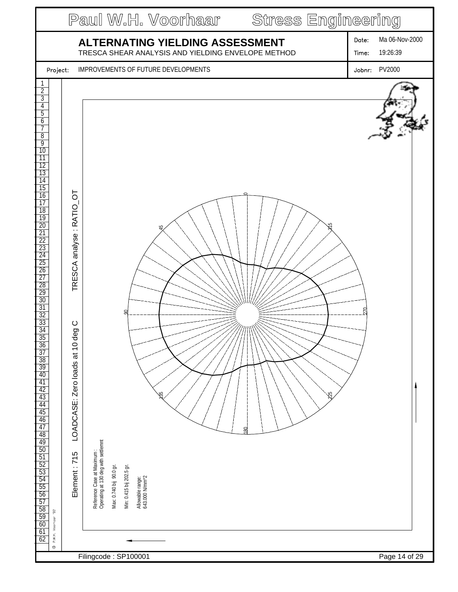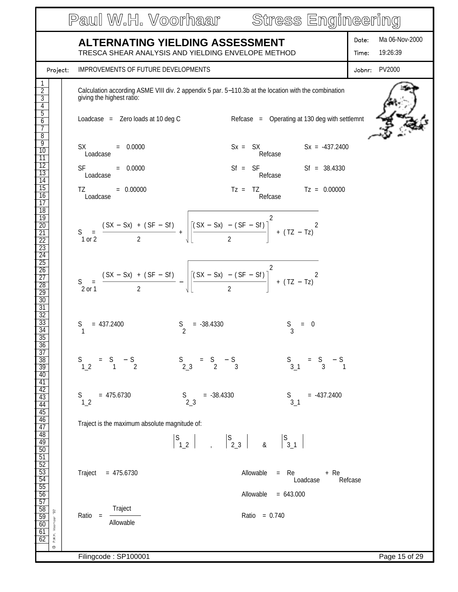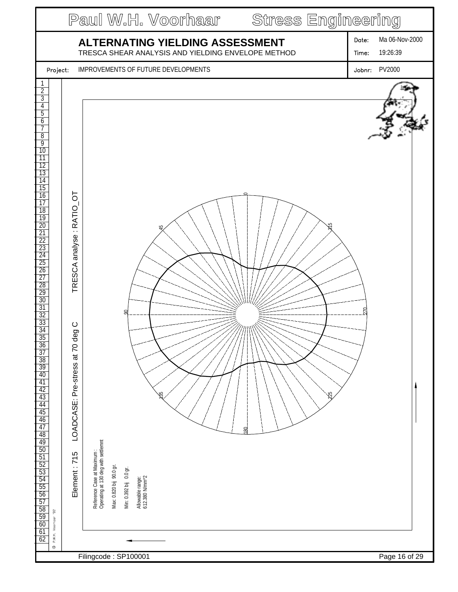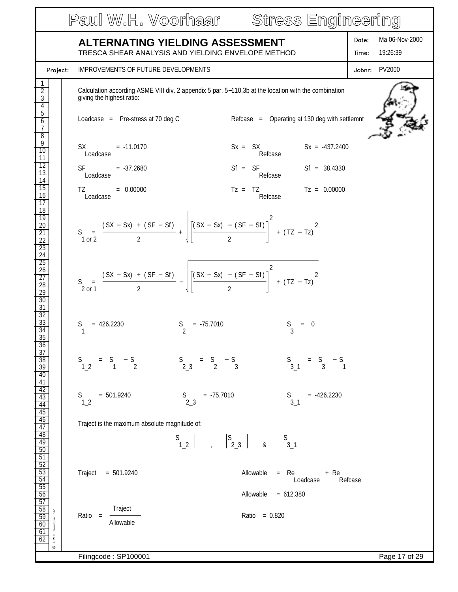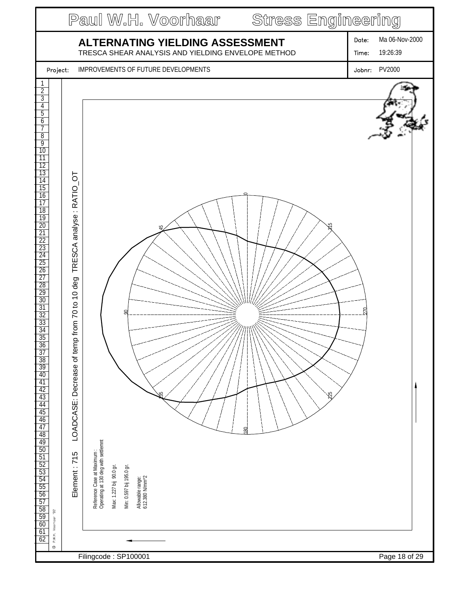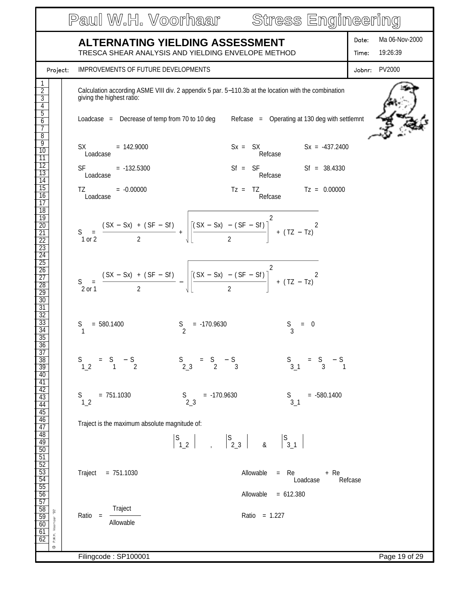|                                                                                                                                               | Paul W.H. Voorhaar Stress Engineering                                                                                                                                                                                                                                                                                                                                               |                                              |
|-----------------------------------------------------------------------------------------------------------------------------------------------|-------------------------------------------------------------------------------------------------------------------------------------------------------------------------------------------------------------------------------------------------------------------------------------------------------------------------------------------------------------------------------------|----------------------------------------------|
|                                                                                                                                               | <b>ALTERNATING YIELDING ASSESSMENT</b><br>TRESCA SHEAR ANALYSIS AND YIELDING ENVELOPE METHOD                                                                                                                                                                                                                                                                                        | Ma 06-Nov-2000<br>Date:<br>19:26:39<br>Time: |
| Project:                                                                                                                                      | IMPROVEMENTS OF FUTURE DEVELOPMENTS                                                                                                                                                                                                                                                                                                                                                 | Jobnr: PV2000                                |
| $\overline{2}$<br>$\overline{3}$<br>4<br>$\overline{5}$<br>6<br>7                                                                             | Calculation according ASME VIII div. 2 appendix 5 par. 5-110.3b at the location with the combination<br>giving the highest ratio:<br>Loadcase = Decrease of temp from 70 to 10 deg Refcase = Operating at 130 deg with settlemnt                                                                                                                                                    |                                              |
| $\overline{8}$<br>9<br>10<br>$\overline{11}$<br>$\overline{12}$<br>$\overline{13}$<br>$\overline{14}$<br>$\overline{15}$                      | $Sx = SX$ $Sx = -437.2400$<br>$SX = 142.9000$<br>Refcase<br>Loadcase<br>$Sf = SF$ $Sf = 38.4330$<br>SF and the set<br>$= -132.5300$<br>Refcase<br>Loadcase<br>$Tz = TZ$ $Tz = 0.00000$                                                                                                                                                                                              |                                              |
| 16<br>$\overline{17}$<br>$\overline{18}$<br>19<br>$\overline{20}$<br>$\overline{21}$<br>$\overline{22}$<br>$\overline{23}$<br>$\overline{24}$ | TZ and the state of the state of the state of the state of the state of the state of the state of the state of the state of the state of the state of the state of the state of the state of the state of the state of the sta<br>$= -0.00000$<br>Refcase<br>Loadcase<br>S = $\frac{(SX - Sx) + (SF - Sf)}{2}$ + $\left  \frac{(SX - Sx) - (SF - Sf)}{2} \right ^2$ + $(TZ - TZ)^2$ |                                              |
| $\overline{25}$<br>$\overline{26}$<br>$\overline{27}$<br>28<br>$\overline{29}$<br>30<br>$\overline{31}$                                       | S = $\frac{(SX - Sx) + (SF - Sf)}{2} - \sqrt{\frac{(SX - Sx) - (SF - Sf)}{2}} + (TZ - Tz)^{2}$                                                                                                                                                                                                                                                                                      |                                              |
| $\overline{32}$<br>33<br>$\overline{34}$<br>$\overline{35}$<br>36                                                                             | $S_2$<br>S<br>$= 580.1400$<br>$= -170.9630$<br>$= 0$                                                                                                                                                                                                                                                                                                                                |                                              |
| $\overline{37}$<br>$\frac{38}{39}$<br>40                                                                                                      | $S$ <sub>2_3</sub><br>$=$ S $-$ S 3<br>$S$ <sub>3_1</sub><br>$=$ S $-$ S $_3$ 1<br>$S$ <sub>1_2</sub><br>$= S - S$                                                                                                                                                                                                                                                                  |                                              |
| $\frac{41}{42}$<br>$\frac{42}{43}$<br>$\frac{44}{45}$<br>$\frac{45}{46}$                                                                      | $= 751.1030$<br>$= -170.9630$<br>$= -580.1400$<br>$S$ <sub>2_3</sub><br>$S$ <sub>3_1</sub><br>S.<br>1 <sub>2</sub>                                                                                                                                                                                                                                                                  |                                              |
| $\frac{\frac{1}{47}}{\frac{48}{49}}$                                                                                                          | Traject is the maximum absolute magnitude of:                                                                                                                                                                                                                                                                                                                                       |                                              |
| $\frac{50}{51} \frac{52}{53} \frac{53}{54} \frac{54}{55} \frac{56}{57}$                                                                       | Traject = $751.1030$<br>Allowable<br>$=$ Re<br>+ Re<br>Loadcase<br>Allowable<br>$= 612.380$                                                                                                                                                                                                                                                                                         | Refcase                                      |
| $\frac{58}{59}$<br>$92$<br>P.W.H. Voorhaar<br>60<br>61<br>62<br>$\circledcirc$                                                                | Traject<br>Ratio = 1.227<br>$Ratio =$<br>Allowable                                                                                                                                                                                                                                                                                                                                  |                                              |
|                                                                                                                                               | Filingcode: SP100001                                                                                                                                                                                                                                                                                                                                                                | Page 19 of 29                                |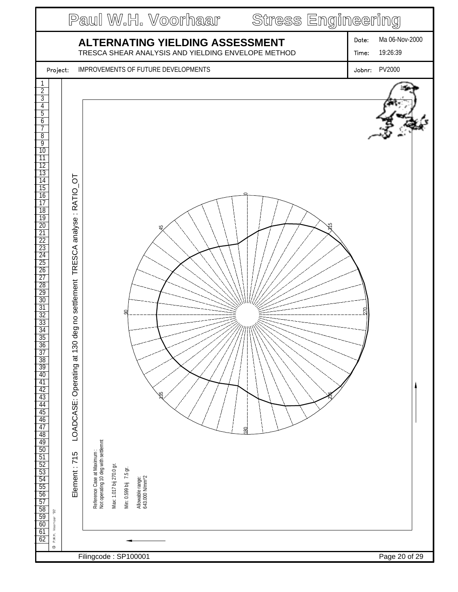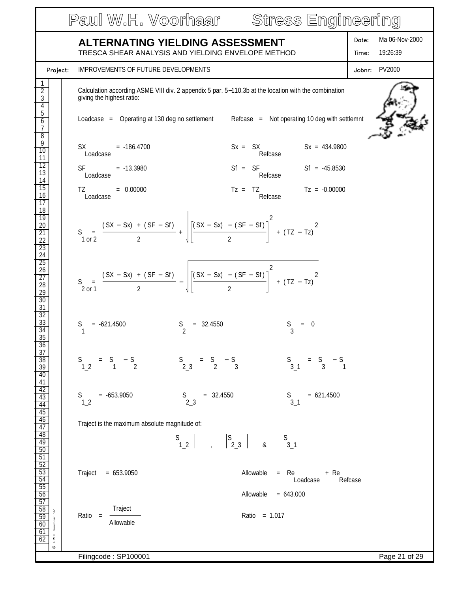|                                                                                                                                                      | Paul W.H. Voorhaar Stress Engineering                                                                                                                                                                                                                                                                                                                                                                                                            |                                              |
|------------------------------------------------------------------------------------------------------------------------------------------------------|--------------------------------------------------------------------------------------------------------------------------------------------------------------------------------------------------------------------------------------------------------------------------------------------------------------------------------------------------------------------------------------------------------------------------------------------------|----------------------------------------------|
|                                                                                                                                                      | <b>ALTERNATING YIELDING ASSESSMENT</b><br>TRESCA SHEAR ANALYSIS AND YIELDING ENVELOPE METHOD                                                                                                                                                                                                                                                                                                                                                     | Ma 06-Nov-2000<br>Date:<br>19:26:39<br>Time: |
| Project:                                                                                                                                             | IMPROVEMENTS OF FUTURE DEVELOPMENTS                                                                                                                                                                                                                                                                                                                                                                                                              | Jobnr: PV2000                                |
| $\overline{2}$<br>$\overline{3}$<br>$\overline{4}$<br>$\overline{5}$<br>6<br>7                                                                       | Calculation according ASME VIII div. 2 appendix 5 par. 5-110.3b at the location with the combination<br>giving the highest ratio:<br>Loadcase = Operating at 130 deg no settlement Refcase = Not operating 10 deg with settlemnt                                                                                                                                                                                                                 |                                              |
| $\overline{8}$<br>$\overline{9}$<br>10<br>$\overline{11}$<br>$\frac{12}{13}$<br>$\overline{14}$<br>$\overline{15}$<br>16                             | $Sx = SX$ $Sx = 434.9800$<br>$SX = -186.4700$<br>Refcase<br>Loadcase<br>$Sf = SF$ $Sf = -45.8530$<br>$SF = -13.3980$<br>Refcase<br>Loadcase<br>$Tz = TZ$ $Tz = -0.00000$<br>TZ and the state of the state of the state of the state of the state of the state of the state of the state of the state of the state of the state of the state of the state of the state of the state of the state of the sta<br>$= 0.00000$<br>Refcase<br>Loadcase |                                              |
| $\overline{17}$<br>$\overline{18}$<br>$\overline{19}$<br>$\overline{20}$<br>$\overline{21}$<br>$\overline{22}$<br>$\overline{23}$<br>$\overline{24}$ | S = $\frac{(SX - Sx) + (SF - Sf)}{2} + \sqrt{\left[\frac{(SX - Sx) - (SF - Sf)}{2}\right]^2 + (TZ - Tz)^2}$                                                                                                                                                                                                                                                                                                                                      |                                              |
| $\overline{25}$<br>$\overline{26}$<br>$\overline{27}$<br>$\overline{28}$<br>29<br>30<br>$\overline{31}$                                              | S = $\frac{(SX - Sx) + (SF - Sf)}{2} - \sqrt{\frac{(SX - Sx) - (SF - Sf)}{2}} + (TZ - Tz)^{2}$                                                                                                                                                                                                                                                                                                                                                   |                                              |
| $\overline{32}$<br>33<br>$\overline{34}$<br>$\overline{35}$<br>$\frac{36}{37}$                                                                       | $S_2$<br>S<br>$= -621.4500$<br>$= 32.4550$<br>$S$ <sub>3</sub><br>$= 0$                                                                                                                                                                                                                                                                                                                                                                          |                                              |
| $\frac{38}{39}$<br>$\overline{40}$                                                                                                                   | $=$ S $-$ S 3<br>$S$ <sub>2_3</sub><br>$S$ <sub>3_1</sub><br>$S$ <sup>1_2</sup><br>$=$ S $-$ S<br>1 2<br>$=$ S $-$ S<br>3 1                                                                                                                                                                                                                                                                                                                      |                                              |
| $\frac{41}{42}$                                                                                                                                      | $= -653.9050$<br>$S$ <sub>2_3</sub><br>$= 621.4500$<br>$= 32.4550$<br>S.<br>S.<br>$3-1$<br>1 <sub>2</sub>                                                                                                                                                                                                                                                                                                                                        |                                              |
| $\frac{44}{45}$ $\frac{46}{47}$ $\frac{48}{49}$                                                                                                      | Traject is the maximum absolute magnitude of:<br>$\begin{array}{ c c c c c c c c } \hline S & S & S & S \\ \hline 1 & 2 & 2 & 3 & 8 & 3 & 1 \ \hline \end{array}$                                                                                                                                                                                                                                                                                |                                              |
| $\frac{50}{51}$ $\frac{52}{52}$ $\frac{53}{54}$ $\frac{54}{55}$                                                                                      | Traject<br>$= 653.9050$<br>Allowable<br>$=$ Re<br>+ Re<br>Refcase<br>Loadcase<br>Allowable<br>$= 643.000$                                                                                                                                                                                                                                                                                                                                        |                                              |
| $\frac{56}{57}$ $\frac{58}{59}$<br>$92\,$<br>P.W.H. Voorhaar<br>$\frac{60}{61}$<br>O                                                                 | Traject<br>Ratio = 1.017<br>$Ratio =$<br>Allowable                                                                                                                                                                                                                                                                                                                                                                                               |                                              |
|                                                                                                                                                      | Filingcode: SP100001                                                                                                                                                                                                                                                                                                                                                                                                                             | Page 21 of 29                                |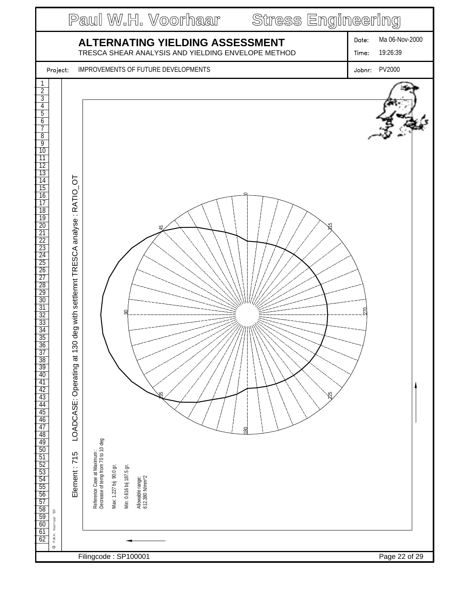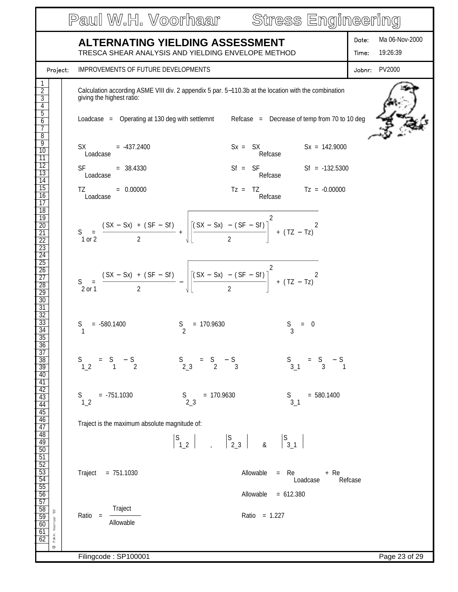|                                                                                                                |                                                                                                                                                                                                                                                           | Paul W.H. Voorhaar Stress Engineering                                                                                                                                                               |                                              |
|----------------------------------------------------------------------------------------------------------------|-----------------------------------------------------------------------------------------------------------------------------------------------------------------------------------------------------------------------------------------------------------|-----------------------------------------------------------------------------------------------------------------------------------------------------------------------------------------------------|----------------------------------------------|
|                                                                                                                | <b>ALTERNATING YIELDING ASSESSMENT</b>                                                                                                                                                                                                                    | TRESCA SHEAR ANALYSIS AND YIELDING ENVELOPE METHOD                                                                                                                                                  | Ma 06-Nov-2000<br>Date:<br>19:26:39<br>Time: |
| Project:                                                                                                       | <b>IMPROVEMENTS OF FUTURE DEVELOPMENTS</b>                                                                                                                                                                                                                |                                                                                                                                                                                                     | Jobnr: PV2000                                |
| $\overline{2}$<br>$\overline{3}$<br>4<br>$\overline{5}$<br>6<br>7                                              | giving the highest ratio:                                                                                                                                                                                                                                 | Calculation according ASME VIII div. 2 appendix 5 par. 5-110.3b at the location with the combination<br>Loadcase = Operating at 130 deg with settlemnt Refcase = Decrease of temp from 70 to 10 deg |                                              |
| $\overline{8}$<br>9<br>10<br>$\overline{11}$<br>$\overline{12}$                                                | $SX = -437.2400$<br>Loadcase                                                                                                                                                                                                                              | $Sx = SX$ $Sx = 142.9000$<br>Refcase                                                                                                                                                                |                                              |
| $\overline{13}$<br>$\overline{14}$                                                                             | SF <sub>2</sub><br>$= 38.4330$<br>Loadcase                                                                                                                                                                                                                | $Sf = SF$ $Sf = -132.5300$<br>Refcase                                                                                                                                                               |                                              |
| $\overline{15}$<br>16<br>$\overline{17}$<br>$\overline{18}$                                                    | TZ and the state of the state of the state of the state of the state of the state of the state of the state of the state of the state of the state of the state of the state of the state of the state of the state of the sta<br>$= 0.00000$<br>Loadcase | $Tz = TZ$ $Tz = -0.00000$<br>Refcase                                                                                                                                                                |                                              |
| 19<br>$\frac{20}{21}$<br>$\overline{22}$<br>$\frac{23}{24}$                                                    |                                                                                                                                                                                                                                                           | S = $\frac{(SX - Sx) + (SF - Sf)}{2} + \sqrt{\frac{(SX - Sx) - (SF - Sf)}{2}}^2 + (TZ - Tz)^2$                                                                                                      |                                              |
| $\overline{25}$<br>$\frac{26}{27}$<br>$\overline{28}$<br>$\overline{29}$<br>$\overline{30}$<br>$\overline{31}$ |                                                                                                                                                                                                                                                           | S = $\frac{(SX - Sx) + (SF - Sf)}{2} - \sqrt{\frac{(SX - Sx) - (SF - Sf)}{2}} + (TZ - Tz)^{2}$                                                                                                      |                                              |
| $\overline{32}$<br>33<br>$\overline{34}$<br>$\overline{35}$<br>36                                              | $S_2$<br>S<br>$= -580.1400$                                                                                                                                                                                                                               | $= 170.9630$<br>$= 0$                                                                                                                                                                               |                                              |
| $\overline{37}$<br>$\frac{38}{39}$<br>$\overline{40}$<br>$\frac{41}{42}$                                       | $=$ S $-$ S $\frac{1}{2}$<br>$S$ <sup>1_2</sup>                                                                                                                                                                                                           | $S = S - S$<br>2_3 2 3<br>$S$ <sub>3_1</sub><br>$=$ S $-$ S<br>3 1                                                                                                                                  |                                              |
| $\overline{43}$<br>$\frac{44}{45}$                                                                             | $= -751.1030$<br>S.<br>1 <sub>2</sub>                                                                                                                                                                                                                     | $= 170.9630$<br>$= 580.1400$<br>$S$ <sub>2_3</sub><br>S.<br>$3-1$                                                                                                                                   |                                              |
| $\overline{46}$<br>$\frac{47}{48}$                                                                             | Traject is the maximum absolute magnitude of:                                                                                                                                                                                                             |                                                                                                                                                                                                     |                                              |
| 49                                                                                                             |                                                                                                                                                                                                                                                           |                                                                                                                                                                                                     |                                              |
| $rac{50}{51}$<br>$rac{52}{53}$<br>$rac{53}{54}$<br>$rac{54}{55}$                                               | Traject = $751.1030$                                                                                                                                                                                                                                      | Allowable<br>$=$ Re<br>+ Re<br>Loadcase                                                                                                                                                             | Refcase                                      |
| $\frac{56}{57}$                                                                                                |                                                                                                                                                                                                                                                           | Allowable<br>$= 612.380$                                                                                                                                                                            |                                              |
| $\frac{1}{58}$<br>$\frac{59}{60}$<br>$92\,$<br>P.W.H. Voorhaar<br>61<br>62                                     | Traject<br>$Ratio =$<br>Allowable                                                                                                                                                                                                                         | Ratio = 1.227                                                                                                                                                                                       |                                              |
| $\circledcirc$                                                                                                 | Filingcode: SP100001                                                                                                                                                                                                                                      |                                                                                                                                                                                                     | Page 23 of 29                                |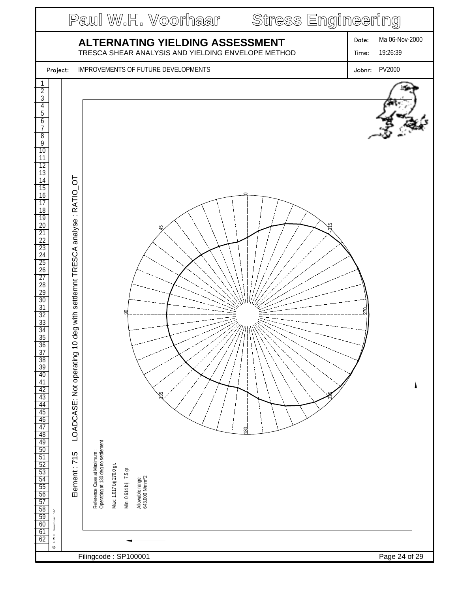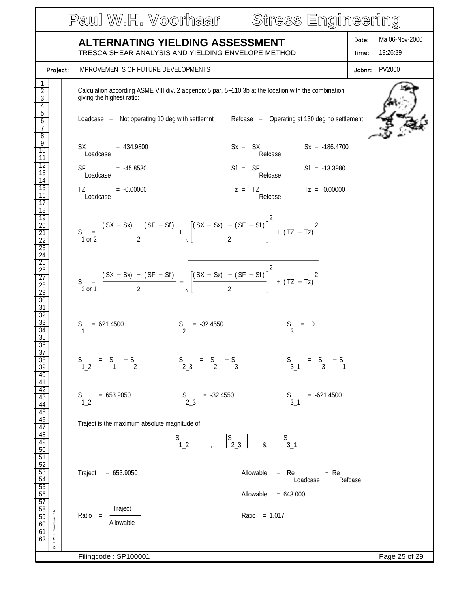|                                                                                                                                                                            | Paul W.H. Voorhaar Stress Engineering                                                                                                                                                                                                                                                                                                                                                                                                            |                                              |
|----------------------------------------------------------------------------------------------------------------------------------------------------------------------------|--------------------------------------------------------------------------------------------------------------------------------------------------------------------------------------------------------------------------------------------------------------------------------------------------------------------------------------------------------------------------------------------------------------------------------------------------|----------------------------------------------|
|                                                                                                                                                                            | ALTERNATING YIELDING ASSESSMENT<br>TRESCA SHEAR ANALYSIS AND YIELDING ENVELOPE METHOD                                                                                                                                                                                                                                                                                                                                                            | Ma 06-Nov-2000<br>Date:<br>19:26:39<br>Time: |
| Project:                                                                                                                                                                   | IMPROVEMENTS OF FUTURE DEVELOPMENTS                                                                                                                                                                                                                                                                                                                                                                                                              | Jobnr: PV2000                                |
| $\overline{2}$<br>$\overline{3}$<br>4<br>$\overline{5}$<br>$\overline{6}$<br>7                                                                                             | Calculation according ASME VIII div. 2 appendix 5 par. 5-110.3b at the location with the combination<br>giving the highest ratio:<br>Loadcase = Not operating 10 deg with settlemnt Refcase = Operating at 130 deg no settlement                                                                                                                                                                                                                 |                                              |
| $\overline{8}$<br>9<br>10<br>$\overline{11}$<br>$\overline{12}$<br>13<br>$\overline{14}$<br>$\overline{15}$<br>16<br>$\overline{17}$<br>$\overline{18}$<br>$\overline{19}$ | $SX = 434.9800$<br>$Sx = SX$ $Sx = -186.4700$<br>Loadcase<br>Refcase<br>$Sf = SF$ $Sf = -13.3980$<br>$SF = -45.8530$<br>Refcase<br>Loadcase<br>$Tz = TZ$ $Tz = 0.00000$<br>TZ and the state of the state of the state of the state of the state of the state of the state of the state of the state of the state of the state of the state of the state of the state of the state of the state of the sta<br>$= -0.00000$<br>Refcase<br>Loadcase |                                              |
| $\frac{20}{21}$<br>$\overline{22}$<br>$\frac{23}{24}$<br>$\overline{25}$<br>$\frac{26}{27}$<br>$\overline{28}$<br>$\frac{29}{30}$                                          | S = $\frac{(SX - Sx) + (SF - Sf)}{2} + \sqrt{\left[\frac{(SX - Sx) - (SF - Sf)}{2}\right]^2 + (TZ - Tz)^2}$<br>S = $\frac{(SX - Sx) + (SF - Sf)}{2} - \sqrt{\left[\frac{(SX - Sx) - (SF - Sf)}{2}\right]^2 + (TZ - Tz)^2}$                                                                                                                                                                                                                       |                                              |
| $\overline{31}$<br>$\frac{32}{33}$<br>$\overline{34}$<br>$\overline{35}$<br>$\frac{36}{37}$                                                                                | $\frac{S}{2}$<br>S<br>$= 621.4500$<br>$= -32.4550$<br>$= 0$                                                                                                                                                                                                                                                                                                                                                                                      |                                              |
| $\frac{38}{39}$<br>40                                                                                                                                                      | $S$ <sub>2_3</sub><br>$=$ S $-$ S 3<br>$S$ <sub>3_1</sub><br>$=$ S $-$ S 3 1<br>$S$ <sup>1_2</sup><br>$=$ S $-$ S<br>1 2                                                                                                                                                                                                                                                                                                                         |                                              |
| $\frac{41}{42}$                                                                                                                                                            | $= 653.9050$<br>$S$ <sub>2_3</sub><br>$= -621.4500$<br>$= -32.4550$<br>$S$ <sub>3_1</sub><br>S.<br>1 <sub>2</sub>                                                                                                                                                                                                                                                                                                                                |                                              |
| $\frac{44}{45}$ $\frac{46}{47}$ $\frac{48}{49}$                                                                                                                            | Traject is the maximum absolute magnitude of:                                                                                                                                                                                                                                                                                                                                                                                                    |                                              |
| $\frac{50}{51}$ $\frac{52}{53}$ $\frac{53}{54}$ $\frac{54}{55}$<br>$\frac{56}{57}$                                                                                         | Traject<br>Allowable<br>$= 653.9050$<br>$=$ Re<br>+ Re<br>Loadcase<br>Allowable<br>$= 643.000$                                                                                                                                                                                                                                                                                                                                                   | Refcase                                      |
| $\frac{58}{59}$<br>$\frac{60}{61}$<br>$\frac{61}{62}$<br>$92\,$<br>P.W.H. Voorhaar<br>$\circledcirc$                                                                       | Traject<br>Ratio = 1.017<br>$Ratio =$<br>Allowable                                                                                                                                                                                                                                                                                                                                                                                               |                                              |
|                                                                                                                                                                            | Filingcode: SP100001                                                                                                                                                                                                                                                                                                                                                                                                                             | Page 25 of 29                                |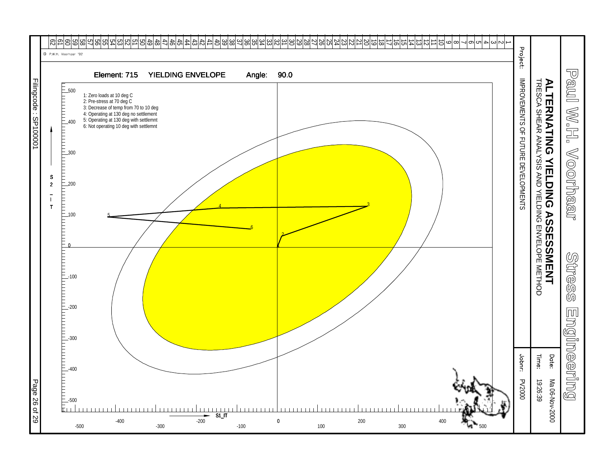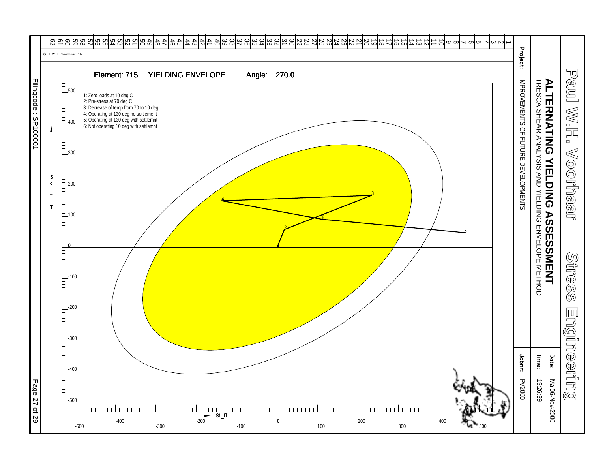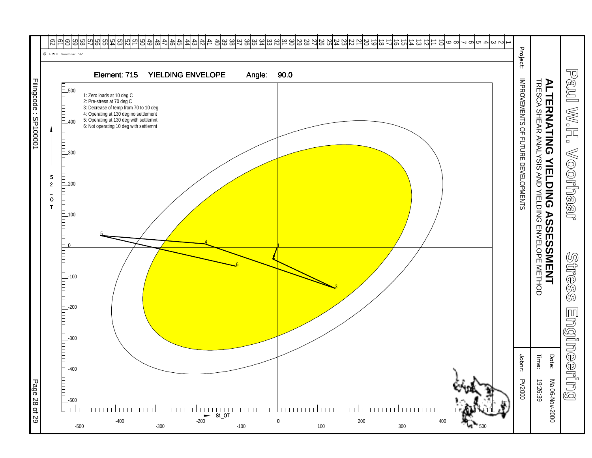